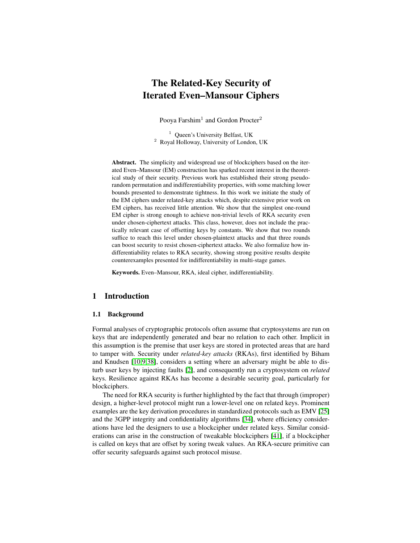# The Related-Key Security of Iterated Even–Mansour Ciphers

Pooya Farshim<sup>1</sup> and Gordon Procter<sup>2</sup>

<sup>1</sup> Queen's University Belfast, UK <sup>2</sup> Royal Holloway, University of London, UK

Abstract. The simplicity and widespread use of blockciphers based on the iterated Even–Mansour (EM) construction has sparked recent interest in the theoretical study of their security. Previous work has established their strong pseudorandom permutation and indifferentiability properties, with some matching lower bounds presented to demonstrate tightness. In this work we initiate the study of the EM ciphers under related-key attacks which, despite extensive prior work on EM ciphers, has received little attention. We show that the simplest one-round EM cipher is strong enough to achieve non-trivial levels of RKA security even under chosen-ciphertext attacks. This class, however, does not include the practically relevant case of offsetting keys by constants. We show that two rounds suffice to reach this level under chosen-plaintext attacks and that three rounds can boost security to resist chosen-ciphertext attacks. We also formalize how indifferentiability relates to RKA security, showing strong positive results despite counterexamples presented for indifferentiability in multi-stage games.

Keywords. Even–Mansour, RKA, ideal cipher, indifferentiability.

### 1 Introduction

#### 1.1 Background

Formal analyses of cryptographic protocols often assume that cryptosystems are run on keys that are independently generated and bear no relation to each other. Implicit in this assumption is the premise that user keys are stored in protected areas that are hard to tamper with. Security under *related-key attacks* (RKAs), first identified by Biham and Knudsen [\[10,](#page-18-0)[9,](#page-18-1)[38\]](#page-20-0), considers a setting where an adversary might be able to disturb user keys by injecting faults [\[2\]](#page-17-0), and consequently run a cryptosystem on *related* keys. Resilience against RKAs has become a desirable security goal, particularly for blockciphers.

The need for RKA security is further highlighted by the fact that through (improper) design, a higher-level protocol might run a lower-level one on related keys. Prominent examples are the key derivation procedures in standardized protocols such as EMV [\[25\]](#page-19-0) and the 3GPP integrity and confidentiality algorithms [\[34\]](#page-19-1), where efficiency considerations have led the designers to use a blockcipher under related keys. Similar considerations can arise in the construction of tweakable blockciphers [\[41\]](#page-20-1), if a blockcipher is called on keys that are offset by xoring tweak values. An RKA-secure primitive can offer security safeguards against such protocol misuse.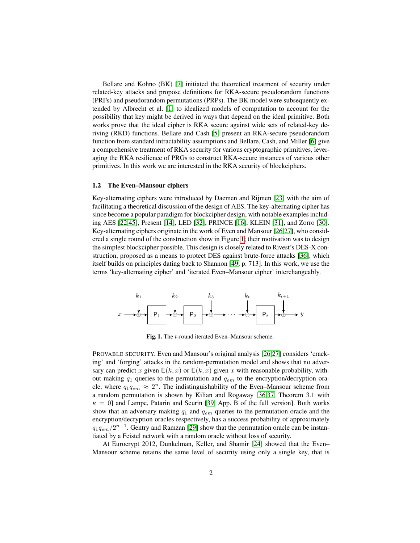Bellare and Kohno (BK) [\[7\]](#page-18-2) initiated the theoretical treatment of security under related-key attacks and propose definitions for RKA-secure pseudorandom functions (PRFs) and pseudorandom permutations (PRPs). The BK model were subsequently extended by Albrecht et al. [\[1\]](#page-17-1) to idealized models of computation to account for the possibility that key might be derived in ways that depend on the ideal primitive. Both works prove that the ideal cipher is RKA secure against wide sets of related-key deriving (RKD) functions. Bellare and Cash [\[5\]](#page-18-3) present an RKA-secure pseudorandom function from standard intractability assumptions and Bellare, Cash, and Miller [\[6\]](#page-18-4) give a comprehensive treatment of RKA security for various cryptographic primitives, leveraging the RKA resilience of PRGs to construct RKA-secure instances of various other primitives. In this work we are interested in the RKA security of blockciphers.

#### 1.2 The Even–Mansour ciphers

Key-alternating ciphers were introduced by Daemen and Rijmen [\[23\]](#page-19-2) with the aim of facilitating a theoretical discussion of the design of AES. The key-alternating cipher has since become a popular paradigm for blockcipher design, with notable examples including AES [\[22,](#page-19-3)[45\]](#page-20-2), Present [\[14\]](#page-18-5), LED [\[32\]](#page-19-4), PRINCE [\[16\]](#page-18-6), KLEIN [\[31\]](#page-19-5), and Zorro [\[30\]](#page-19-6). Key-alternating ciphers originate in the work of Even and Mansour [\[26,](#page-19-7)[27\]](#page-19-8), who considered a single round of the construction show in Figure [1;](#page-1-0) their motivation was to design the simplest blockcipher possible. This design is closely related to Rivest's DES-X construction, proposed as a means to protect DES against brute-force attacks [\[36\]](#page-20-3), which itself builds on principles dating back to Shannon [\[49,](#page-20-4) p. 713]. In this work, we use the terms 'key-alternating cipher' and 'iterated Even–Mansour cipher' interchangeably.



<span id="page-1-0"></span>Fig. 1. The t-round iterated Even–Mansour scheme.

PROVABLE SECURITY. Even and Mansour's original analysis [\[26](#page-19-7)[,27\]](#page-19-8) considers 'cracking' and 'forging' attacks in the random-permutation model and shows that no adversary can predict x given  $E(k, x)$  or  $E(k, x)$  given x with reasonable probability, without making  $q_1$  queries to the permutation and  $q_{em}$  to the encryption/decryption oracle, where  $q_1q_{em} \approx 2^n$ . The indistinguishability of the Even–Mansour scheme from a random permutation is shown by Kilian and Rogaway [\[36,](#page-20-3)[37,](#page-20-5) Theorem 3.1 with  $\kappa = 0$ ] and Lampe, Patarin and Seurin [\[39,](#page-20-6) App. B of the full version]. Both works show that an adversary making  $q_1$  and  $q_{em}$  queries to the permutation oracle and the encryption/decryption oracles respectively, has a success probability of approximately  $q_1q_{em}/2^{n-1}$ . Gentry and Ramzan [\[29\]](#page-19-9) show that the permutation oracle can be instantiated by a Feistel network with a random oracle without loss of security.

At Eurocrypt 2012, Dunkelman, Keller, and Shamir [\[24\]](#page-19-10) showed that the Even– Mansour scheme retains the same level of security using only a single key, that is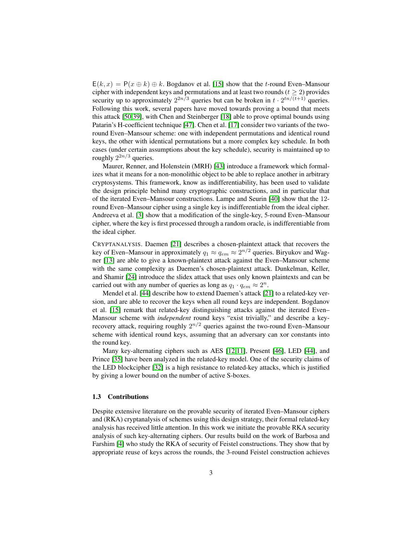$E(k, x) = P(x \oplus k) \oplus k$ . Bogdanov et al. [\[15\]](#page-18-7) show that the t-round Even–Mansour cipher with independent keys and permutations and at least two rounds ( $t \geq 2$ ) provides security up to approximately  $2^{2n/3}$  queries but can be broken in  $t \cdot 2^{tn/(t+1)}$  queries. Following this work, several papers have moved towards proving a bound that meets this attack [\[50](#page-20-7)[,39\]](#page-20-6), with Chen and Steinberger [\[18\]](#page-18-8) able to prove optimal bounds using Patarin's H-coefficient technique [\[47\]](#page-20-8). Chen et al. [\[17\]](#page-18-9) consider two variants of the tworound Even–Mansour scheme: one with independent permutations and identical round keys, the other with identical permutations but a more complex key schedule. In both cases (under certain assumptions about the key schedule), security is maintained up to roughly  $2^{2n/3}$  queries.

Maurer, Renner, and Holenstein (MRH) [\[43\]](#page-20-9) introduce a framework which formalizes what it means for a non-monolithic object to be able to replace another in arbitrary cryptosystems. This framework, know as indifferentiability, has been used to validate the design principle behind many cryptographic constructions, and in particular that of the iterated Even–Mansour constructions. Lampe and Seurin [\[40\]](#page-20-10) show that the 12 round Even–Mansour cipher using a single key is indifferentiable from the ideal cipher. Andreeva et al. [\[3\]](#page-18-10) show that a modification of the single-key, 5-round Even–Mansour cipher, where the key is first processed through a random oracle, is indifferentiable from the ideal cipher.

CRYPTANALYSIS. Daemen [\[21\]](#page-19-11) describes a chosen-plaintext attack that recovers the key of Even–Mansour in approximately  $q_1 \approx q_{em} \approx 2^{n/2}$  queries. Biryukov and Wagner [\[13\]](#page-18-11) are able to give a known-plaintext attack against the Even–Mansour scheme with the same complexity as Daemen's chosen-plaintext attack. Dunkelman, Keller, and Shamir [\[24\]](#page-19-10) introduce the slidex attack that uses only known plaintexts and can be carried out with any number of queries as long as  $q_1 \cdot q_{em} \approx 2^n$ .

Mendel et al. [\[44\]](#page-20-11) describe how to extend Daemen's attack [\[21\]](#page-19-11) to a related-key version, and are able to recover the keys when all round keys are independent. Bogdanov et al. [\[15\]](#page-18-7) remark that related-key distinguishing attacks against the iterated Even– Mansour scheme with *independent* round keys "exist trivially," and describe a keyrecovery attack, requiring roughly  $2^{n/2}$  queries against the two-round Even–Mansour scheme with identical round keys, assuming that an adversary can xor constants into the round key.

Many key-alternating ciphers such as AES [\[12,](#page-18-12)[11\]](#page-18-13), Present [\[46\]](#page-20-12), LED [\[44\]](#page-20-11), and Prince [\[35\]](#page-19-12) have been analyzed in the related-key model. One of the security claims of the LED blockcipher [\[32\]](#page-19-4) is a high resistance to related-key attacks, which is justified by giving a lower bound on the number of active S-boxes.

#### 1.3 Contributions

Despite extensive literature on the provable security of iterated Even–Mansour ciphers and (RKA) cryptanalysis of schemes using this design strategy, their formal related-key analysis has received little attention. In this work we initiate the provable RKA security analysis of such key-alternating ciphers. Our results build on the work of Barbosa and Farshim [\[4\]](#page-18-14) who study the RKA of security of Feistel constructions. They show that by appropriate reuse of keys across the rounds, the 3-round Feistel construction achieves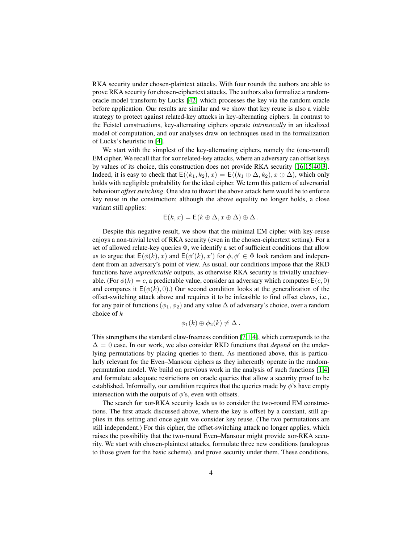RKA security under chosen-plaintext attacks. With four rounds the authors are able to prove RKA security for chosen-ciphertext attacks. The authors also formalize a randomoracle model transform by Lucks [\[42\]](#page-20-13) which processes the key via the random oracle before application. Our results are similar and we show that key reuse is also a viable strategy to protect against related-key attacks in key-alternating ciphers. In contrast to the Feistel constructions, key-alternating ciphers operate *intrinsically* in an idealized model of computation, and our analyses draw on techniques used in the formalization of Lucks's heuristic in [\[4\]](#page-18-14).

We start with the simplest of the key-alternating ciphers, namely the (one-round) EM cipher. We recall that for xor related-key attacks, where an adversary can offset keys by values of its choice, this construction does not provide RKA security [\[16](#page-18-6)[,15](#page-18-7)[,40](#page-20-10)[,3\]](#page-18-10). Indeed, it is easy to check that  $E((k_1, k_2), x) = E((k_1 \oplus \Delta, k_2), x \oplus \Delta)$ , which only holds with negligible probability for the ideal cipher. We term this pattern of adversarial behaviour *offset switching*. One idea to thwart the above attack here would be to enforce key reuse in the construction; although the above equality no longer holds, a close variant still applies:

$$
\mathsf{E}(k,x) = \mathsf{E}(k \oplus \Delta, x \oplus \Delta) \oplus \Delta.
$$

Despite this negative result, we show that the minimal EM cipher with key-reuse enjoys a non-trivial level of RKA security (even in the chosen-ciphertext setting). For a set of allowed relate-key queries  $\Phi$ , we identify a set of sufficient conditions that allow us to argue that  $\mathsf{E}(\phi(k),x)$  and  $\mathsf{E}(\phi'(k),x')$  for  $\phi, \phi' \in \Phi$  look random and independent from an adversary's point of view. As usual, our conditions impose that the RKD functions have *unpredictable* outputs, as otherwise RKA security is trivially unachievable. (For  $\phi(k) = c$ , a predictable value, consider an adversary which computes  $E(c, 0)$ ) and compares it  $E(\phi(k), 0)$ .) Our second condition looks at the generalization of the offset-switching attack above and requires it to be infeasible to find offset claws, i.e., for any pair of functions ( $\phi_1, \phi_2$ ) and any value  $\Delta$  of adversary's choice, over a random choice of k

$$
\phi_1(k)\oplus\phi_2(k)\neq\Delta.
$$

This strengthens the standard claw-freeness condition [\[7,](#page-18-2)[1,](#page-17-1)[4\]](#page-18-14), which corresponds to the  $\Delta = 0$  case. In our work, we also consider RKD functions that *depend* on the underlying permutations by placing queries to them. As mentioned above, this is particularly relevant for the Even–Mansour ciphers as they inherently operate in the randompermutation model. We build on previous work in the analysis of such functions [\[1](#page-17-1)[,4\]](#page-18-14) and formulate adequate restrictions on oracle queries that allow a security proof to be established. Informally, our condition requires that the queries made by  $\phi$ 's have empty intersection with the outputs of  $\phi$ 's, even with offsets.

The search for xor-RKA security leads us to consider the two-round EM constructions. The first attack discussed above, where the key is offset by a constant, still applies in this setting and once again we consider key reuse. (The two permutations are still independent.) For this cipher, the offset-switching attack no longer applies, which raises the possibility that the two-round Even–Mansour might provide xor-RKA security. We start with chosen-plaintext attacks, formulate three new conditions (analogous to those given for the basic scheme), and prove security under them. These conditions,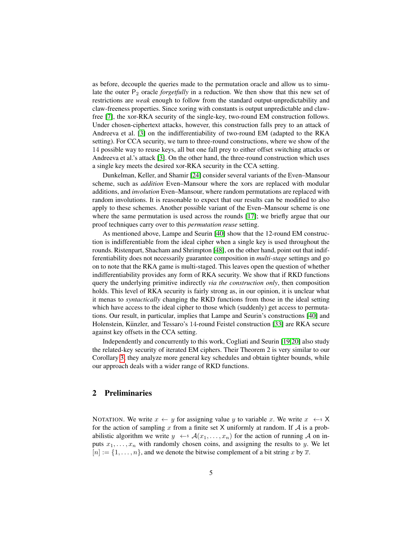as before, decouple the queries made to the permutation oracle and allow us to simulate the outer  $P_2$  oracle *forgetfully* in a reduction. We then show that this new set of restrictions are *weak* enough to follow from the standard output-unpredictability and claw-freeness properties. Since xoring with constants is output unpredictable and clawfree [\[7\]](#page-18-2), the xor-RKA security of the single-key, two-round EM construction follows. Under chosen-ciphertext attacks, however, this construction falls prey to an attack of Andreeva et al. [\[3\]](#page-18-10) on the indifferentiability of two-round EM (adapted to the RKA setting). For CCA security, we turn to three-round constructions, where we show of the 14 possible way to reuse keys, all but one fall prey to either offset switching attacks or Andreeva et al.'s attack [\[3\]](#page-18-10). On the other hand, the three-round construction which uses a single key meets the desired xor-RKA security in the CCA setting.

Dunkelman, Keller, and Shamir [\[24\]](#page-19-10) consider several variants of the Even–Mansour scheme, such as *addition* Even–Mansour where the xors are replaced with modular additions, and *involution* Even–Mansour, where random permutations are replaced with random involutions. It is reasonable to expect that our results can be modified to also apply to these schemes. Another possible variant of the Even–Mansour scheme is one where the same permutation is used across the rounds [\[17\]](#page-18-9); we briefly argue that our proof techniques carry over to this *permutation reuse* setting.

As mentioned above, Lampe and Seurin [\[40\]](#page-20-10) show that the 12-round EM construction is indifferentiable from the ideal cipher when a single key is used throughout the rounds. Ristenpart, Shacham and Shrimpton [\[48\]](#page-20-14), on the other hand, point out that indifferentiability does not necessarily guarantee composition in *multi-stage* settings and go on to note that the RKA game is multi-staged. This leaves open the question of whether indifferentiability provides any form of RKA security. We show that if RKD functions query the underlying primitive indirectly *via the construction only*, then composition holds. This level of RKA security is fairly strong as, in our opinion, it is unclear what it menas to *syntactically* changing the RKD functions from those in the ideal setting which have access to the ideal cipher to those which (suddenly) get access to permutations. Our result, in particular, implies that Lampe and Seurin's constructions [\[40\]](#page-20-10) and Holenstein, Künzler, and Tessaro's 14-round Feistel construction [\[33\]](#page-19-13) are RKA secure against key offsets in the CCA setting.

Independently and concurrently to this work, Cogliati and Seurin [\[19,](#page-19-14)[20\]](#page-19-15) also study the related-key security of iterated EM ciphers. Their Theorem 2 is very similar to our Corollary [3;](#page-17-2) they analyze more general key schedules and obtain tighter bounds, while our approach deals with a wider range of RKD functions.

## 2 Preliminaries

NOTATION. We write  $x \leftarrow y$  for assigning value y to variable x. We write  $x \leftarrow s \mathsf{X}$ for the action of sampling x from a finite set X uniformly at random. If  $\mathcal A$  is a probabilistic algorithm we write  $y \leftrightarrow \mathcal{A}(x_1, \dots, x_n)$  for the action of running A on inputs  $x_1, \ldots, x_n$  with randomly chosen coins, and assigning the results to y. We let  $[n] := \{1, \ldots, n\}$ , and we denote the bitwise complement of a bit string x by  $\overline{x}$ .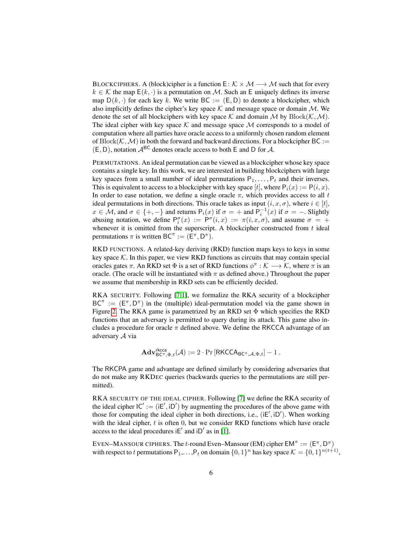BLOCKCIPHERS. A (block)cipher is a function  $E: K \times M \longrightarrow M$  such that for every  $k \in \mathcal{K}$  the map  $E(k, \cdot)$  is a permutation on M. Such an E uniquely defines its inverse map  $D(k, \cdot)$  for each key k. We write  $BC := (E, D)$  to denote a blockcipher, which also implicitly defines the cipher's key space  $K$  and message space or domain  $M$ . We denote the set of all blockciphers with key space  $\mathcal K$  and domain  $\mathcal M$  by  $Block(\mathcal K, \mathcal M)$ . The ideal cipher with key space  $K$  and message space  $M$  corresponds to a model of computation where all parties have oracle access to a uniformly chosen random element of Block( $K, \mathcal{M}$ ) in both the forward and backward directions. For a blockcipher BC :=  $(E, D)$ , notation  $A^{BC}$  denotes oracle access to both E and D for A.

PERMUTATIONS. An ideal permutation can be viewed as a blockcipher whose key space contains a single key. In this work, we are interested in building blockciphers with large key spaces from a small number of ideal permutations  $P_1, \ldots, P_t$  and their inverses. This is equivalent to access to a blockcipher with key space [t], where  $P_i(x) := P(i, x)$ . In order to ease notation, we define a single oracle  $\pi$ , which provides access to all t ideal permutations in both directions. This oracle takes as input  $(i, x, \sigma)$ , where  $i \in [t]$ ,  $x \in M$ , and  $\sigma \in \{+, -\}$  and returns  $P_i(x)$  if  $\sigma = +$  and  $P_i^{-1}(x)$  if  $\sigma = -$ . Slightly abusing notation, we define  $P_i^{\sigma}(x) := P_{i}^{\sigma}(i,x) := \pi(i,x,\sigma)$ , and assume  $\sigma = +$ whenever it is omitted from the superscript. A blockcipher constructed from  $t$  ideal permutations  $\pi$  is written BC<sup> $\pi$ </sup> :=  $(\bar{\mathsf{E}}^{\pi}, \mathsf{D}^{\pi})$ .

RKD FUNCTIONS. A related-key deriving (RKD) function maps keys to keys in some key space  $K$ . In this paper, we view RKD functions as circuits that may contain special oracles gates  $\pi$ . An RKD set  $\Phi$  is a set of RKD functions  $\phi^{\pi} : \mathcal{K} \longrightarrow \mathcal{K}$ , where  $\pi$  is an oracle. (The oracle will be instantiated with  $\pi$  as defined above.) Throughout the paper we assume that membership in RKD sets can be efficiently decided.

RKA SECURITY. Following [\[7](#page-18-2)[,1\]](#page-17-1), we formalize the RKA security of a blockcipher  $BC^{\pi} := (E^{\pi}, D^{\pi})$  in the (multiple) ideal-permutation model via the game shown in Figure [2.](#page-6-0) The RKA game is parametrized by an RKD set  $\Phi$  which specifies the RKD functions that an adversary is permitted to query during its attack. This game also includes a procedure for oracle  $\pi$  defined above. We define the RKCCA advantage of an adversary A via

$$
\mathbf{Adv}_{\mathsf{BC}^{\pi}, \Phi, t}^{\mathsf{rkcca}}(\mathcal{A}) := 2 \cdot \Pr\left[\mathsf{RKCCA}_{\mathsf{BC}^{\pi}, \mathcal{A}, \Phi, t}\right] - 1 \ .
$$

The RKCPA game and advantage are defined similarly by considering adversaries that do not make any RKDEC queries (backwards queries to the permutations are still permitted).

RKA SECURITY OF THE IDEAL CIPHER. Following [\[7\]](#page-18-2) we define the RKA security of the ideal cipher  $IC' := (iE', iD')$  by augmenting the procedures of the above game with those for computing the ideal cipher in both directions, i.e.,  $(iE', iD')$ . When working with the ideal cipher,  $t$  is often 0, but we consider RKD functions which have oracle access to the ideal procedures  $iE'$  and  $iD'$  as in [\[1\]](#page-17-1).

EVEN–MANSOUR CIPHERS. The *t*-round Even–Mansour (EM) cipher  $EM^{\pi} := (E^{\pi}, D^{\pi})$ with respect to t permutations  $P_1, \ldots, P_t$  on domain  $\{0, 1\}^n$  has key space  $\mathcal{K} = \{0, 1\}^{n(t+1)}$ ,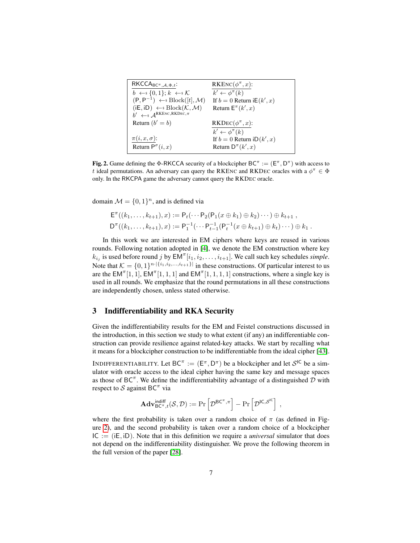| $RKCCA_{BC^{\pi},\mathcal{A},\Phi,t}:$                  | RKENC $(\phi^{\pi}, x)$ :      |
|---------------------------------------------------------|--------------------------------|
| $b \leftarrow \{0,1\}; k \leftarrow \mathcal{K}$        | $k' \leftarrow \phi^{\pi}(k)$  |
| $(P, P^{-1}) \leftarrow \text{Block}([t], \mathcal{M})$ | If $b = 0$ Return iE $(k', x)$ |
| $(iE, iD) \leftarrow$ Block $(K, \mathcal{M})$          | Return $E^{\pi}(k',x)$         |
| $b' \leftarrow \mathcal{A}^{RKENC, RKDEC, \pi}$         |                                |
| Return $(b' = b)$                                       | RKDEC( $\phi^{\pi}, x$ ):      |
|                                                         | $k' \leftarrow \phi^{\pi}(k)$  |
| $\pi(i, x, \sigma)$ :                                   | If $b = 0$ Return iD $(k', x)$ |
| Return $P^{\sigma}(i, x)$                               | Return $D^{\pi}(k',x)$         |

<span id="page-6-0"></span>**Fig. 2.** Game defining the  $\Phi$ -RKCCA security of a blockcipher  $BC^{\pi} := (E^{\pi}, D^{\pi})$  with access to t ideal permutations. An adversary can query the RKENC and RKDEC oracles with a  $\phi^{\pi} \in \Phi$ only. In the RKCPA game the adversary cannot query the RKDEC oracle.

domain  $\mathcal{M} = \{0, 1\}^n$ , and is defined via

$$
\mathsf{E}^{\pi}((k_1,\ldots,k_{t+1}),x) := \mathsf{P}_t(\cdots\mathsf{P}_2(\mathsf{P}_1(x\oplus k_1)\oplus k_2)\cdots)\oplus k_{t+1},
$$
  

$$
\mathsf{D}^{\pi}((k_1,\ldots,k_{t+1}),x) := \mathsf{P}_1^{-1}(\cdots\mathsf{P}_{t-1}^{-1}(\mathsf{P}_t^{-1}(x\oplus k_{t+1})\oplus k_t)\cdots)\oplus k_1.
$$

In this work we are interested in EM ciphers where keys are reused in various rounds. Following notation adopted in [\[4\]](#page-18-14), we denote the EM construction where key  $k_{i_j}$  is used before round j by  $\text{EM}^{\pi}[i_1, i_2, \dots, i_{t+1}]$ . We call such key schedules *simple*. Note that  $\mathcal{K} = \{0,1\}^{n \cdot |\{i_1,i_2,...,i_{t+1}\}|}$  in these constructions. Of particular interest to us are the EM<sup> $\pi$ </sup>[1, 1], EM<sup> $\pi$ </sup>[1, 1, 1] and EM $\pi$ [1, 1, 1, 1] constructions, where a single key is used in all rounds. We emphasize that the round permutations in all these constructions are independently chosen, unless stated otherwise.

### 3 Indifferentiability and RKA Security

Given the indifferentiability results for the EM and Feistel constructions discussed in the introduction, in this section we study to what extent (if any) an indifferentiable construction can provide resilience against related-key attacks. We start by recalling what it means for a blockcipher construction to be indifferentiable from the ideal cipher [\[43\]](#page-20-9).

INDIFFERENTIABILITY. Let  $BC^{\pi} := (E^{\pi}, D^{\pi})$  be a blockcipher and let  $S^{IC}$  be a simulator with oracle access to the ideal cipher having the same key and message spaces as those of BC<sup> $\pi$ </sup>. We define the indifferentiability advantage of a distinguished  $\mathcal D$  with respect to S against BC<sup> $\pi$ </sup> via

$$
\mathbf{Adv}_{BC^{\pi},t}^{\mathsf{indiff}}(\mathcal{S},\mathcal{D}):=\Pr\left[\mathcal{D}^{BC^{\pi},\pi}\right]-\Pr\left[\mathcal{D}^{IC,\mathcal{S}^{IC}}\right]\;,
$$

where the first probability is taken over a random choice of  $\pi$  (as defined in Figure [2\)](#page-6-0), and the second probability is taken over a random choice of a blockcipher IC := (iE, iD). Note that in this definition we require a *universal* simulator that does not depend on the indifferentiability distinguisher. We prove the following theorem in the full version of the paper [\[28\]](#page-19-16).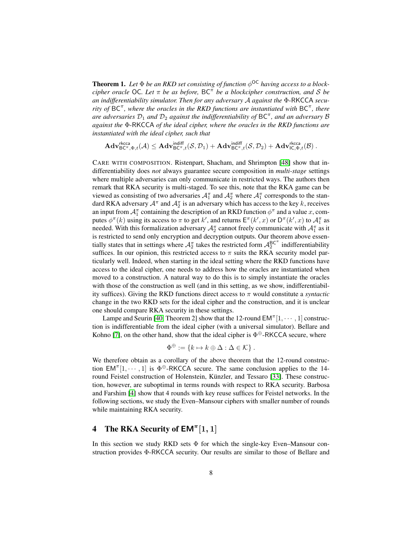Theorem 1. *Let* Φ *be an RKD set consisting of function* φ OC *having access to a blockcipher oracle* OC*. Let* π *be as before,* BC<sup>π</sup> *be a blockcipher construction, and* S *be an indifferentiability simulator. Then for any adversary* A *against the* Φ-RKCCA *security of* BC<sup>π</sup> *, where the oracles in the RKD functions are instantiated with* BC<sup>π</sup> *, there* are adversaries  $\mathcal{D}_1$  and  $\mathcal{D}_2$  against the indifferentiability of  $\mathsf{BC}^{\pi}$ , and an adversary  $\mathcal B$ *against the* Φ-RKCCA *of the ideal cipher, where the oracles in the RKD functions are instantiated with the ideal cipher, such that*

$$
\mathbf{Adv}_{\mathsf{BC}^{\pi},\Phi,t}^{\mathsf{rkcca}}(\mathcal{A}) \leq \mathbf{Adv}_{\mathsf{BC}^{\pi},t}^{\mathsf{indiff}}(\mathcal{S},\mathcal{D}_1) + \mathbf{Adv}_{\mathsf{BC}^{\pi},t}^{\mathsf{indiff}}(\mathcal{S},\mathcal{D}_2) + \mathbf{Adv}_{\mathsf{IC},\Phi,t}^{\mathsf{rkcca}}(\mathcal{B})\ .
$$

CARE WITH COMPOSITION. Ristenpart, Shacham, and Shrimpton [\[48\]](#page-20-14) show that indifferentiability does *not* always guarantee secure composition in *multi-stage* settings where multiple adversaries can only communicate in restricted ways. The authors then remark that RKA security is multi-staged. To see this, note that the RKA game can be viewed as consisting of two adversaries  $A_1^{\pi}$  and  $A_2^{\pi}$  where  $A_1^{\pi}$  corresponds to the standard RKA adversary  $\mathcal{A}^{\pi}$  and  $\mathcal{A}^{\pi}_2$  is an adversary which has access to the key k, receives an input from  $\mathcal{A}_1^{\pi}$  containing the description of an RKD function  $\phi^{\pi}$  and a value x, computes  $\phi^{\pi}(k)$  using its access to  $\pi$  to get k', and returns  $\mathsf{E}^{\pi}(k',x)$  or  $\mathsf{D}^{\pi}(k',x)$  to  $\mathcal{A}_1^{\pi}$  as needed. With this formalization adversary  $\mathcal{A}_2^{\pi}$  cannot freely communicate with  $\mathcal{A}_1^{\pi}$  as it is restricted to send only encryption and decryption outputs. Our theorem above essentially states that in settings where  $A_2^{\pi}$  takes the restricted form  $A_2^{BC^{\pi}}$  indifferentiability suffices. In our opinion, this restricted access to  $\pi$  suits the RKA security model particularly well. Indeed, when starting in the ideal setting where the RKD functions have access to the ideal cipher, one needs to address how the oracles are instantiated when moved to a construction. A natural way to do this is to simply instantiate the oracles with those of the construction as well (and in this setting, as we show, indifferentiability suffices). Giving the RKD functions direct access to  $\pi$  would constitute a *syntactic* change in the two RKD sets for the ideal cipher and the construction, and it is unclear one should compare RKA security in these settings.

Lampe and Seurin [\[40,](#page-20-10) Theorem 2] show that the 12-round  $EM^{\pi}[1, \cdots, 1]$  construction is indifferentiable from the ideal cipher (with a universal simulator). Bellare and Kohno [\[7\]](#page-18-2), on the other hand, show that the ideal cipher is  $\Phi^{\oplus}$ -RKCCA secure, where

$$
\Phi^{\oplus} := \{ k \mapsto k \oplus \Delta : \Delta \in \mathcal{K} \} .
$$

We therefore obtain as a corollary of the above theorem that the 12-round construction  $EM^{\pi}[1, \cdots, 1]$  is  $\Phi^{\oplus}$ -RKCCA secure. The same conclusion applies to the 14-round Feistel construction of Holenstein, Künzler, and Tessaro [\[33\]](#page-19-13). These construction, however, are suboptimal in terms rounds with respect to RKA security. Barbosa and Farshim [\[4\]](#page-18-14) show that 4 rounds with key reuse suffices for Feistel networks. In the following sections, we study the Even–Mansour ciphers with smaller number of rounds while maintaining RKA security.

## 4 The RKA Security of  $EM^{\pi}[1,1]$

In this section we study RKD sets  $\Phi$  for which the single-key Even–Mansour construction provides Φ-RKCCA security. Our results are similar to those of Bellare and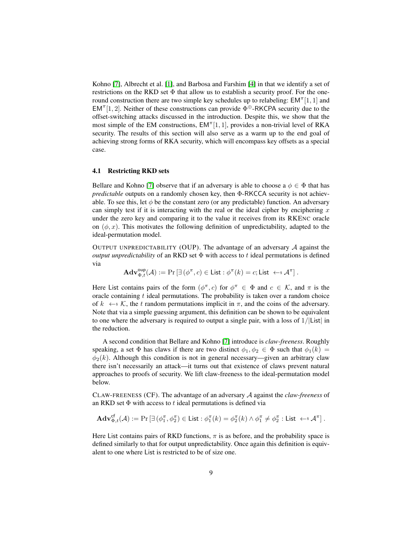Kohno [\[7\]](#page-18-2), Albrecht et al. [\[1\]](#page-17-1), and Barbosa and Farshim [\[4\]](#page-18-14) in that we identify a set of restrictions on the RKD set  $\Phi$  that allow us to establish a security proof. For the oneround construction there are two simple key schedules up to relabeling:  $EM^{\pi}[1, 1]$  and  $EM^{\pi}[1,2]$ . Neither of these constructions can provide  $\Phi^{\oplus}$ -RKCPA security due to the offset-switching attacks discussed in the introduction. Despite this, we show that the most simple of the EM constructions,  $EM^{\pi}[1,1]$ , provides a non-trivial level of RKA security. The results of this section will also serve as a warm up to the end goal of achieving strong forms of RKA security, which will encompass key offsets as a special case.

#### 4.1 Restricting RKD sets

Bellare and Kohno [\[7\]](#page-18-2) observe that if an adversary is able to choose a  $\phi \in \Phi$  that has *predictable* outputs on a randomly chosen key, then Φ-RKCCA security is not achievable. To see this, let  $\phi$  be the constant zero (or any predictable) function. An adversary can simply test if it is interacting with the real or the ideal cipher by enciphering  $x$ under the zero key and comparing it to the value it receives from its RKENC oracle on  $(\phi, x)$ . This motivates the following definition of unpredictability, adapted to the ideal-permutation model.

OUTPUT UNPREDICTABILITY (OUP). The advantage of an adversary  $A$  against the *output unpredictability* of an RKD set  $\Phi$  with access to t ideal permutations is defined via

$$
\mathbf{Adv}_{\Phi,t}^{\text{oup}}(\mathcal{A}) := \Pr\left[\exists \left(\phi^{\pi}, c\right) \in \mathsf{List} : \phi^{\pi}(k) = c; \mathsf{List\;} \leftarrow^{\mathsf{s}} \mathcal{A}^{\pi}\right].
$$

Here List contains pairs of the form  $(\phi^{\pi}, c)$  for  $\phi^{\pi} \in \Phi$  and  $c \in \mathcal{K}$ , and  $\pi$  is the oracle containing  $t$  ideal permutations. The probability is taken over a random choice of  $k \leftarrow \kappa$ , the t random permutations implicit in  $\pi$ , and the coins of the adversary. Note that via a simple guessing argument, this definition can be shown to be equivalent to one where the adversary is required to output a single pair, with a loss of  $1/|\text{List}|$  in the reduction.

A second condition that Bellare and Kohno [\[7\]](#page-18-2) introduce is *claw-freeness*. Roughly speaking, a set  $\Phi$  has claws if there are two distinct  $\phi_1, \phi_2 \in \Phi$  such that  $\phi_1(k) =$  $\phi_2(k)$ . Although this condition is not in general necessary—given an arbitrary claw there isn't necessarily an attack—it turns out that existence of claws prevent natural approaches to proofs of security. We lift claw-freeness to the ideal-permutation model below.

CLAW-FREENESS (CF). The advantage of an adversary A against the *claw-freeness* of an RKD set  $\Phi$  with access to t ideal permutations is defined via

$$
\mathbf{Adv}_{\Phi,t}^{\mathrm{cf}}(\mathcal{A}) := \Pr\left[\exists \left(\phi_1^{\pi}, \phi_2^{\pi}\right) \in \mathsf{List} : \phi_1^{\pi}(k) = \phi_2^{\pi}(k) \land \phi_1^{\pi} \neq \phi_2^{\pi} : \mathsf{List} \leftarrow \mathsf{s} \mathcal{A}^{\pi}\right].
$$

Here List contains pairs of RKD functions,  $\pi$  is as before, and the probability space is defined similarly to that for output unpredictability. Once again this definition is equivalent to one where List is restricted to be of size one.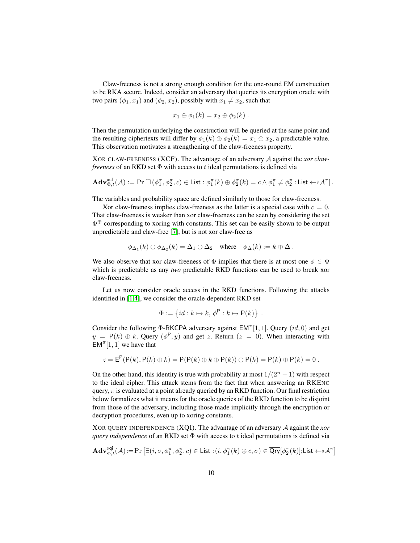Claw-freeness is not a strong enough condition for the one-round EM construction to be RKA secure. Indeed, consider an adversary that queries its encryption oracle with two pairs  $(\phi_1, x_1)$  and  $(\phi_2, x_2)$ , possibly with  $x_1 \neq x_2$ , such that

$$
x_1\oplus \phi_1(k)=x_2\oplus \phi_2(k).
$$

Then the permutation underlying the construction will be queried at the same point and the resulting ciphertexts will differ by  $\phi_1(k) \oplus \phi_2(k) = x_1 \oplus x_2$ , a predictable value. This observation motivates a strengthening of the claw-freeness property.

XOR CLAW-FREENESS (XCF). The advantage of an adversary A against the *xor clawfreeness* of an RKD set  $\Phi$  with access to t ideal permutations is defined via

$$
\mathbf{Adv}_{\Phi,t}^{\mathsf{scf}}(\mathcal{A}) := \Pr\left[\exists \left(\phi_1^{\pi}, \phi_2^{\pi}, c\right) \in \mathsf{List} : \phi_1^{\pi}(k) \oplus \phi_2^{\pi}(k) = c \land \phi_1^{\pi} \neq \phi_2^{\pi} : \mathsf{List} \leftarrow \mathsf{s}\mathcal{A}^{\pi}\right].
$$

The variables and probability space are defined similarly to those for claw-freeness.

Xor claw-freeness implies claw-freeness as the latter is a special case with  $c = 0$ . That claw-freeness is weaker than xor claw-freeness can be seen by considering the set Φ <sup>⊕</sup> corresponding to xoring with constants. This set can be easily shown to be output unpredictable and claw-free [\[7\]](#page-18-2), but is not xor claw-free as

$$
\phi_{\Delta_1}(k) \oplus \phi_{\Delta_2}(k) = \Delta_1 \oplus \Delta_2 \quad \text{where} \quad \phi_{\Delta}(k) := k \oplus \Delta \ .
$$

We also observe that xor claw-freeness of  $\Phi$  implies that there is at most one  $\phi \in \Phi$ which is predictable as any *two* predictable RKD functions can be used to break xor claw-freeness.

Let us now consider oracle access in the RKD functions. Following the attacks identified in [\[1](#page-17-1)[,4\]](#page-18-14), we consider the oracle-dependent RKD set

$$
\Phi := \{ id : k \mapsto k, \, \phi^{\mathsf{P}} : k \mapsto \mathsf{P}(k) \} \ .
$$

Consider the following  $\Phi$ -RKCPA adversary against  $EM^{\pi}[1, 1]$ . Query  $(id, 0)$  and get  $y = P(k) \oplus k$ . Query  $(\phi^P, y)$  and get z. Return  $(z = 0)$ . When interacting with  $EM^{\pi}[1, 1]$  we have that

$$
z = \mathsf{E}^{\mathsf{P}}(\mathsf{P}(k), \mathsf{P}(k) \oplus k) = \mathsf{P}(\mathsf{P}(k) \oplus k \oplus \mathsf{P}(k)) \oplus \mathsf{P}(k) = \mathsf{P}(k) \oplus \mathsf{P}(k) = 0.
$$

On the other hand, this identity is true with probability at most  $1/(2<sup>n</sup> - 1)$  with respect to the ideal cipher. This attack stems from the fact that when answering an RKENC query,  $\pi$  is evaluated at a point already queried by an RKD function. Our final restriction below formalizes what it means for the oracle queries of the RKD function to be disjoint from those of the adversary, including those made implicitly through the encryption or decryption procedures, even up to xoring constants.

XOR QUERY INDEPENDENCE (XQI). The advantage of an adversary A against the *xor query independence* of an RKD set  $\Phi$  with access to t ideal permutations is defined via

$$
\mathbf{Adv}_{\Phi,t}^{\mathsf{xqi}}(\mathcal{A})\!:=\!\Pr\left[\exists(i,\sigma,\phi_{1}^{\pi},\phi_{2}^{\pi},c)\in\mathsf{List}:(i,\phi_{1}^{\pi}(k)\oplus c,\sigma)\in\overline{\mathsf{Qry}}[\phi_{2}^{\pi}(k)]\!;\mathsf{List}\leftarrow\!\mathsf{s}\mathcal{A}^{\pi}\right]
$$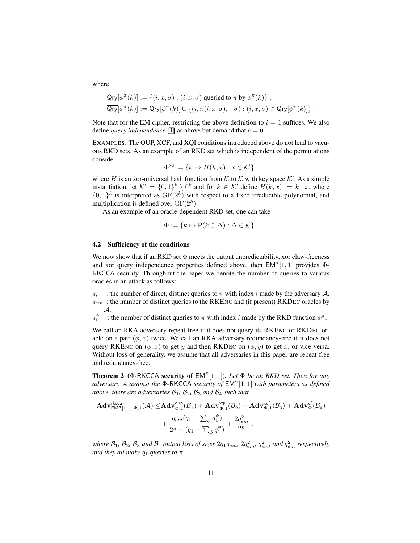where

$$
\begin{aligned} \mathsf{Qry}[\phi^{\pi}(k)] &:= \{ (i, x, \sigma) : (i, x, \sigma) \text{ queried to } \pi \text{ by } \phi^{\pi}(k) \}, \\ \overline{\mathsf{Qry}}[\phi^{\pi}(k)] &:= \mathsf{Qry}[\phi^{\pi}(k)] \cup \{ (i, \pi(i, x, \sigma), -\sigma) : (i, x, \sigma) \in \mathsf{Qry}[\phi^{\pi}(k)] \} \,. \end{aligned}
$$

Note that for the EM cipher, restricting the above definition to  $i = 1$  suffices. We also define *query independence* [\[1\]](#page-17-1) as above but demand that  $c = 0$ .

EXAMPLES. The OUP, XCF, and XQI conditions introduced above do not lead to vacuous RKD sets. As an example of an RKD set which is independent of the permutations consider

$$
\Phi^{\mathsf{xu}} := \{ k \mapsto H(k, x) : x \in \mathcal{K}' \},
$$

where H is an xor-universal hash function from K to K with key space  $K'$ . As a simple instantiation, let  $\mathcal{K}' = \{0,1\}^k \setminus 0^k$  and for  $k \in \mathcal{K}'$  define  $H(k, x) := k \cdot x$ , where  $\{0,1\}^k$  is interpreted as  $GF(2^k)$  with respect to a fixed irreducible polynomial, and multiplication is defined over  $GF(2<sup>k</sup>)$ .

As an example of an oracle-dependent RKD set, one can take

$$
\Phi := \{ k \mapsto P(k \oplus \Delta) : \Delta \in \mathcal{K} \} .
$$

#### 4.2 Sufficiency of the conditions

We now show that if an RKD set  $\Phi$  meets the output unpredictability, xor claw-freeness and xor query independence properties defined above, then  $EM^{\pi}[1,1]$  provides  $\Phi$ -RKCCA security. Throughput the paper we denote the number of queries to various oracles in an attack as follows:

 $q_i$ : the number of direct, distinct queries to  $\pi$  with index i made by the adversary A.  $q_{em}$ : the number of distinct queries to the RKENC and (if present) RKDEC oracles by A.

 $q_i^{\phi}$ : the number of distinct queries to  $\pi$  with index i made by the RKD function  $\phi^{\pi}$ .

We call an RKA adversary repeat-free if it does not query its RKENC or RKDEC oracle on a pair  $(\phi, x)$  twice. We call an RKA adversary redundancy-free if it does not query RKENC on  $(\phi, x)$  to get y and then RKDEC on  $(\phi, y)$  to get x, or vice versa. Without loss of generality, we assume that all adversaries in this paper are repeat-free and redundancy-free.

<span id="page-10-0"></span>**Theorem 2** ( $\Phi$ -RKCCA security of  $EM^{\pi}[1,1]$ ). Let  $\Phi$  be an RKD set. Then for any *adversary* A *against the* Φ-RKCCA *security of* EM<sup>π</sup> [1, 1] *with parameters as defined above, there are adversaries*  $B_1$ ,  $B_2$ ,  $B_3$  *and*  $B_4$  *such that* 

$$
\begin{aligned} \mathbf{Adv}^{\mathsf{rkcca}}_{\mathsf{EM}^{\pi}[1,1],\Phi,1}(\mathcal{A}) \leq & \mathbf{Adv}_{\Phi,1}^{\mathsf{oup}}(\mathcal{B}_1) + \mathbf{Adv}_{\Phi,1}^{\mathsf{xqi}}(\mathcal{B}_2) + \mathbf{Adv}_{\Phi,1}^{\mathsf{xcf}}(\mathcal{B}_3) + \mathbf{Adv}_{\Phi}^{\mathsf{cf}}(\mathcal{B}_4) \\ & + \frac{q_{em}(q_1 + \sum_{\phi} q_1^{\phi})}{2^n - (q_1 + \sum_{\phi} q_1^{\phi})} + \frac{2q_{em}^2}{2^n} \ , \end{aligned}
$$

where  $\mathcal{B}_1$ ,  $\mathcal{B}_2$ ,  $\mathcal{B}_3$  and  $\mathcal{B}_4$  output lists of sizes  $2q_1q_{em}$ ,  $2q_{em}^2$ ,  $q_{em}^2$ , and  $q_{em}^2$  respectively *and they all make*  $q_1$  *queries to*  $\pi$ *.*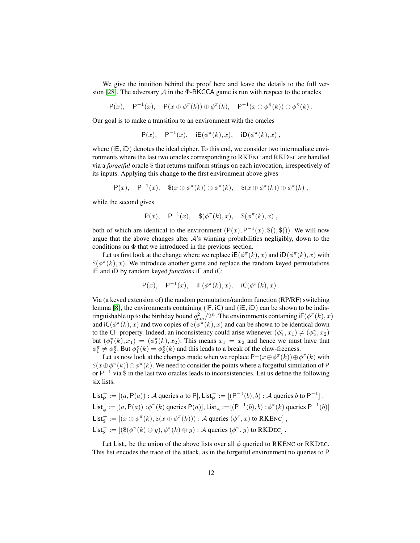We give the intuition behind the proof here and leave the details to the full ver-sion [\[28\]](#page-19-16). The adversary  $\mathcal A$  in the  $\Phi$ -RKCCA game is run with respect to the oracles

 $P(x)$ ,  $P^{-1}(x)$ ,  $P(x \oplus \phi^{\pi}(k)) \oplus \phi^{\pi}(k)$ ,  $P^{-1}(x \oplus \phi^{\pi}(k)) \oplus \phi^{\pi}(k)$ .

Our goal is to make a transition to an environment with the oracles

 $P(x)$ ,  $P^{-1}(x)$ ,  $iE(\phi^{\pi}(k), x)$ ,  $iD(\phi^{\pi}(k), x)$ ,

where (iE, iD) denotes the ideal cipher. To this end, we consider two intermediate environments where the last two oracles corresponding to RKENC and RKDEC are handled via a *forgetful* oracle \$ that returns uniform strings on each invocation, irrespectively of its inputs. Applying this change to the first environment above gives

 $P(x)$ ,  $P^{-1}(x)$ ,  $\$(x \oplus \phi^{\pi}(k)) \oplus \phi^{\pi}(k)$ ,  $\$(x \oplus \phi^{\pi}(k)) \oplus \phi^{\pi}(k)$ ,

while the second gives

$$
P(x)
$$
,  $P^{-1}(x)$ ,  $\$(\phi^{\pi}(k), x)$ ,  $\$(\phi^{\pi}(k), x)$ ,

both of which are identical to the environment  $(P(x), P^{-1}(x), \$(), \$())$ . We will now argue that the above changes alter  $A$ 's winning probabilities negligibly, down to the conditions on  $\Phi$  that we introduced in the previous section.

Let us first look at the change where we replace  $iE(\phi^{\pi}(k),x)$  and  $iD(\phi^{\pi}(k),x)$  with  $\$(\phi^{\pi}(k), x)$ . We introduce another game and replace the random keyed permutations iE and iD by random keyed *functions* iF and iC:

$$
P(x)
$$
,  $P^{-1}(x)$ ,  $iF(\phi^{\pi}(k), x)$ ,  $iC(\phi^{\pi}(k), x)$ .

Via (a keyed extension of) the random permutation/random function (RP/RF) switching lemma [\[8\]](#page-18-15), the environments containing  $(iF, iC)$  and  $(iE, iD)$  can be shown to be indistinguishable up to the birthday bound  $q_{em}^2/2^n.$  The environments containing iF  $(\phi^{\pi}(k),x)$ and iC( $\phi^{\pi}(k)$ , x) and two copies of  $\phi^{\pi}(k)$ , x) and can be shown to be identical down to the CF property. Indeed, an inconsistency could arise whenever  $(\phi_1^{\pi}, x_1) \neq (\phi_2^{\pi}, x_2)$ but  $(\phi_1^{\pi}(k), x_1) = (\phi_2^{\pi}(k), x_2)$ . This means  $x_1 = x_2$  and hence we must have that  $\phi_1^{\pi} \neq \phi_2^{\pi}$ . But  $\phi_1^{\pi}(k) = \phi_2^{\pi}(k)$  and this leads to a break of the claw-freeness.

Let us now look at the changes made when we replace  $\mathsf{P}^{\pm}(x \oplus \phi^{\pi}(k)) \oplus \phi^{\pi}(k)$  with  $\$(x \oplus \phi^{\pi}(k)) \oplus \phi^{\pi}(k)$ . We need to consider the points where a forgetful simulation of P or  $P^{-1}$  via \$ in the last two oracles leads to inconsistencies. Let us define the following six lists.

List<sup>+</sup><sub>*p*</sub> := [(a, P(a)) : 
$$
\mathcal A
$$
 queries *a* to P], List<sup>-</sup><sub>*p*</sub> := [(P<sup>-1</sup>(b), b) :  $\mathcal A$  queries *b* to P<sup>-1</sup>],  
List<sup>+</sup><sub>*\phi*</sub> := [(a, P(a)) :  $\phi^{\pi}(k)$  queries P(a)], List<sup>-</sup><sub>*\phi*</sub> := [(P<sup>-1</sup>(b), b) :  $\phi^{\pi}(k)$  queries P<sup>-1</sup>(b)]  
List<sup>+</sup><sub>*s*</sub> := [(x  $\oplus \phi^{\pi}(k)$ ,  $\$(x \oplus \phi^{\pi}(k)))$  :  $\mathcal A$  queries ( $\phi^{\pi}, x$ ) to RKENC],  
List<sup>-</sup><sub>*s*</sub> := [( $\$((\phi^{\pi}(k) \oplus y), \phi^{\pi}(k) \oplus y)$  :  $\mathcal A$  queries ( $\phi^{\pi}, y$ ) to RKDEC].

Let List<sub>\*</sub> be the union of the above lists over all  $\phi$  queried to RKENC or RKDEC. This list encodes the trace of the attack, as in the forgetful environment no queries to P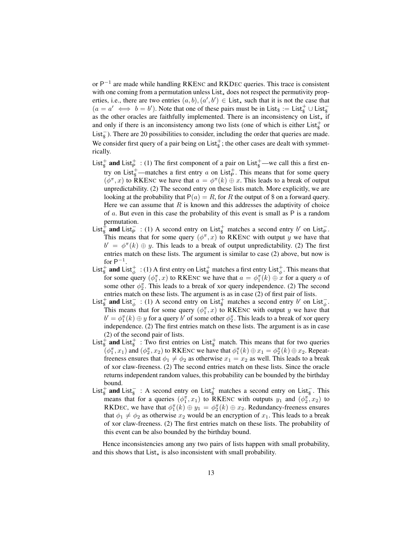or  $P^{-1}$  are made while handling RKENC and RKDEC queries. This trace is consistent with one coming from a permutation unless  $List_{\star}$  does not respect the permutivity properties, i.e., there are two entries  $(a, b), (a', b') \in \text{List}_{\star}$  such that it is not the case that  $(a = a' \iff b = b')$ . Note that one of these pairs must be in List<sub>s</sub> := List<sub>s</sub><sup>+</sup> ∪ List<sub>s</sub><sup>-</sup> as the other oracles are faithfully implemented. There is an inconsistency on List, if and only if there is an inconsistency among two lists (one of which is either  $List^+$  or List<sup>−</sup> \$ ). There are 20 possibilities to consider, including the order that queries are made. We consider first query of a pair being on  $List_{\$}^+$ ; the other cases are dealt with symmetrically.

- List<sup>+</sup><sub>\$</sub> and List<sup>+</sup> : (1) The first component of a pair on List<sup>+</sup><sub>\$</sub>—we call this a first entry on List<sup>+</sup><sub>\$</sub>—matches a first entry a on List<sup>+</sup><sub>p</sub>. This means that for some query  $(\phi^{\pi}, x)$  to RKENC we have that  $a = \phi^{\pi}(k) \oplus x$ . This leads to a break of output unpredictability. (2) The second entry on these lists match. More explicitly, we are looking at the probability that  $P(a) = R$ , for R the output of \$ on a forward query. Here we can assume that  $R$  is known and this addresses the adaptivity of choice of a. But even in this case the probability of this event is small as P is a random permutation.
- List<sup> $\frac{1}{8}$ </sup> and List<sub>p</sub> : (1) A second entry on List<sub>§</sub><sup>+</sup> matches a second entry b' on List<sub>p</sub>. This means that for some query  $(\phi^{\pi}, x)$  to RKENC with output y we have that  $b' = \phi^{\pi}(k) \oplus y$ . This leads to a break of output unpredictability. (2) The first entries match on these lists. The argument is similar to case (2) above, but now is for  $P^{-1}$ .
- List $^+_\emptyset$  and List $^+_\phi$ : (1) A first entry on List $^+_\$$  matches a first entry List $^+_\phi$ . This means that for some query  $(\phi_1^{\pi}, x)$  to RKENC we have that  $a = \phi_1^{\pi}(k) \oplus x$  for a query a of some other  $\phi_2^{\pi}$ . This leads to a break of xor query independence. (2) The second entries match on these lists. The argument is as in case (2) of first pair of lists.
- List<sup>+</sup><sub>\$</sub> and List<sub> $\phi$ </sub> : (1) A second entry on List<sup>+</sup><sub>\$</sub> matches a second entry b' on List<sub> $\phi$ </sub>. This means that for some query  $(\phi_1^{\pi}, x)$  to RKENC with output y we have that  $b' = \phi_1^{\pi}(k) \oplus y$  for a query  $b'$  of some other  $\phi_2^{\pi}$ . This leads to a break of xor query independence. (2) The first entries match on these lists. The argument is as in case (2) of the second pair of lists.
- List<sup>+</sup> and List<sup>+</sup> : Two first entries on List<sup>+</sup> match. This means that for two queries  $(\phi_1^{\pi}, x_1)$  and  $(\phi_2^{\pi}, x_2)$  to RKENC we have that  $\phi_1^{\pi}(k) \oplus x_1 = \phi_2^{\pi}(k) \oplus x_2$ . Repeatfreeness ensures that  $\phi_1 \neq \phi_2$  as otherwise  $x_1 = x_2$  as well. This leads to a break of xor claw-freeness. (2) The second entries match on these lists. Since the oracle returns independent random values, this probability can be bounded by the birthday bound.
- List<sup>+</sup><sub>\$</sub> and List<sub>\$</sub> : A second entry on List<sup>+</sup><sub>\$</sub> matches a second entry on List<sub>\$</sub>. This means that for a queries  $(\phi_1^{\pi}, x_1)$  to RKENC with outputs  $y_1$  and  $(\phi_2^{\pi}, x_2)$  to RKDEC, we have that  $\phi_1^{\pi}(k) \oplus y_1 = \phi_2^{\pi}(k) \oplus x_2$ . Redundancy-freeness ensures that  $\phi_1 \neq \phi_2$  as otherwise  $x_2$  would be an encryption of  $x_1$ . This leads to a break of xor claw-freeness. (2) The first entries match on these lists. The probability of this event can be also bounded by the birthday bound.

Hence inconsistencies among any two pairs of lists happen with small probability, and this shows that  $List_{\star}$  is also inconsistent with small probability.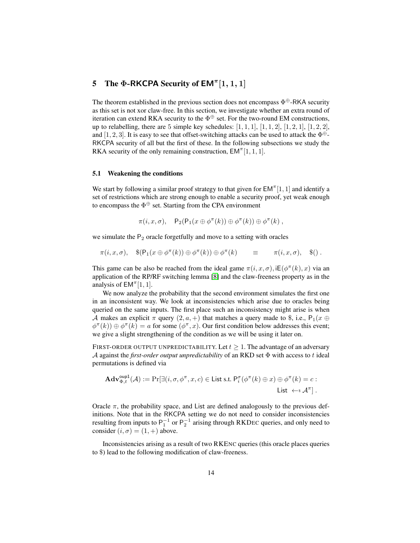## 5 The  $\Phi$ -RKCPA Security of EM<sup> $\pi$ </sup>[1, 1, 1]

The theorem established in the previous section does not encompass  $\Phi^{\oplus}$ -RKA security as this set is not xor claw-free. In this section, we investigate whether an extra round of iteration can extend RKA security to the  $\Phi^{\oplus}$  set. For the two-round EM constructions, up to relabelling, there are 5 simple key schedules:  $[1, 1, 1]$ ,  $[1, 1, 2]$ ,  $[1, 2, 1]$ ,  $[1, 2, 2]$ , and [1, 2, 3]. It is easy to see that offset-switching attacks can be used to attack the  $\Phi^{\oplus}$ -RKCPA security of all but the first of these. In the following subsections we study the RKA security of the only remaining construction,  $EM^{\pi}[1,1,1]$ .

#### 5.1 Weakening the conditions

We start by following a similar proof strategy to that given for  $EM^{\pi}[1, 1]$  and identify a set of restrictions which are strong enough to enable a security proof, yet weak enough to encompass the  $\Phi^{\oplus}$  set. Starting from the CPA environment

$$
\pi(i, x, \sigma), \quad \mathsf{P}_2(\mathsf{P}_1(x \oplus \phi^{\pi}(k)) \oplus \phi^{\pi}(k)) \oplus \phi^{\pi}(k),
$$

we simulate the  $P_2$  oracle forgetfully and move to a setting with oracles

$$
\pi(i, x, \sigma), \quad \mathcal{E}(P_1(x \oplus \phi^{\pi}(k)) \oplus \phi^{\pi}(k)) \oplus \phi^{\pi}(k) \qquad \equiv \qquad \pi(i, x, \sigma), \quad \mathcal{E}().
$$

This game can be also be reached from the ideal game  $\pi(i, x, \sigma)$ , i $E(\phi^{\pi}(k), x)$  via an application of the RP/RF switching lemma [\[8\]](#page-18-15) and the claw-freeness property as in the analysis of  $EM^{\pi}[1, 1]$ .

We now analyze the probability that the second environment simulates the first one in an inconsistent way. We look at inconsistencies which arise due to oracles being queried on the same inputs. The first place such an inconsistency might arise is when A makes an explicit  $\pi$  query  $(2, a, +)$  that matches a query made to \$, i.e.,  $P_1(x \oplus$  $\phi^{\pi}(k)$ )  $\oplus$   $\phi^{\pi}(k) = a$  for some  $(\phi^{\pi}, x)$ . Our first condition below addresses this event; we give a slight strengthening of the condition as we will be using it later on.

FIRST-ORDER OUTPUT UNPREDICTABILITY. Let  $t \geq 1$ . The advantage of an adversary A against the *first-order output unpredictability* of an RKD set  $\Phi$  with access to t ideal permutations is defined via

$$
\mathbf{Adv}_{\Phi,t}^{\mathsf{oup1}}(\mathcal{A}) := \Pr[\exists (i, \sigma, \phi^{\pi}, x, c) \in \mathsf{List} \text{ s.t. } \mathsf{P}_i^{\sigma}(\phi^{\pi}(k) \oplus x) \oplus \phi^{\pi}(k) = c : \newline \mathsf{List} \leftarrow^{\mathsf{s}} \mathcal{A}^{\pi}].
$$

Oracle  $\pi$ , the probability space, and List are defined analogously to the previous definitions. Note that in the RKCPA setting we do not need to consider inconsistencies resulting from inputs to  $P_1^{-1}$  or  $P_2^{-1}$  arising through RKDEC queries, and only need to consider  $(i, \sigma) = (1, +)$  above.

Inconsistencies arising as a result of two RKENC queries (this oracle places queries to \$) lead to the following modification of claw-freeness.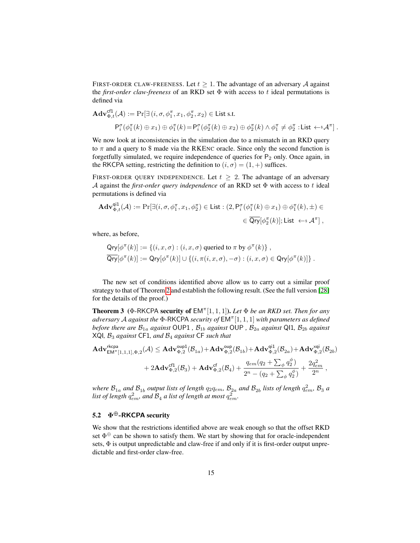FIRST-ORDER CLAW-FREENESS. Let  $t \geq 1$ . The advantage of an adversary A against the *first-order claw-freeness* of an RKD set  $\Phi$  with access to t ideal permutations is defined via

$$
\mathbf{Adv}_{\Phi,t}^{\mathrm{cf1}}(\mathcal{A}) := \Pr[\exists (i, \sigma, \phi_1^{\pi}, x_1, \phi_2^{\pi}, x_2) \in \text{List s.t.}
$$
  

$$
\mathsf{P}_i^{\sigma}(\phi_1^{\pi}(k) \oplus x_1) \oplus \phi_1^{\pi}(k) = \mathsf{P}_i^{\sigma}(\phi_2^{\pi}(k) \oplus x_2) \oplus \phi_2^{\pi}(k) \land \phi_1^{\pi} \neq \phi_2^{\pi} : \text{List } \leftarrow s \mathcal{A}^{\pi}].
$$

We now look at inconsistencies in the simulation due to a mismatch in an RKD query to  $\pi$  and a query to  $\frac{1}{3}$  made via the RKENC oracle. Since only the second function is forgetfully simulated, we require independence of queries for  $P_2$  only. Once again, in the RKCPA setting, restricting the definition to  $(i, \sigma) = (1, +)$  suffices.

FIRST-ORDER QUERY INDEPENDENCE. Let  $t \geq 2$ . The advantage of an adversary A against the *first-order query independence* of an RKD set Φ with access to t ideal permutations is defined via

$$
\mathbf{Adv}_{\Phi,t}^{\text{qil}}(\mathcal{A}) := \Pr[\exists (i, \sigma, \phi_1^{\pi}, x_1, \phi_2^{\pi}) \in \text{List} : (2, \mathsf{P}_i^{\sigma}(\phi_1^{\pi}(k) \oplus x_1) \oplus \phi_1^{\pi}(k), \pm) \in \mathsf{\overline{Qry}}[\phi_2^{\pi}(k)]; \text{List } \leftarrow^{\ast} \mathcal{A}^{\pi}],
$$

where, as before,

$$
\begin{aligned}\n\mathsf{Qry}[\phi^{\pi}(k)] &:= \{(i, x, \sigma) : (i, x, \sigma) \text{ queried to } \pi \text{ by } \phi^{\pi}(k)\}, \\
\overline{\mathsf{Qry}}[\phi^{\pi}(k)] &:= \mathsf{Qry}[\phi^{\pi}(k)] \cup \{(i, \pi(i, x, \sigma), -\sigma) : (i, x, \sigma) \in \mathsf{Qry}[\phi^{\pi}(k)]\} \,.\n\end{aligned}
$$

The new set of conditions identified above allow us to carry out a similar proof strategy to that of Theorem [2](#page-10-0) and establish the following result. (See the full version [\[28\]](#page-19-16) for the details of the proof.)

<span id="page-14-0"></span>**Theorem 3** ( $\Phi$ -RKCPA security of  $EM^{\pi}[1,1,1]$ ). Let  $\Phi$  be an RKD set. Then for any *adversary* A *against the* Φ-RKCPA *security of* EM<sup>π</sup> [1, 1, 1] *with parameters as defined before there are*  $B_{1a}$  *against* OUP1,  $B_{1b}$  *against* OUP,  $B_{2a}$  *against* Q11,  $B_{2b}$  *against* XQI*,* B<sup>3</sup> *against* CF1*, and* B<sup>4</sup> *against* CF *such that*

$$
\begin{aligned} \mathbf{Adv}_{\mathsf{EM}^{\pi}[1,1,1],\Phi,2}^{\mathsf{rkcpa}}(\mathcal{A}) & \leq \mathbf{Adv}_{\Phi,2}^{\mathsf{oup1}}(\mathcal{B}_{1a}) + \mathbf{Adv}_{\Phi,2}^{\mathsf{oup}}(\mathcal{B}_{1b}) + \mathbf{Adv}_{\Phi,2}^{\mathsf{qil}}(\mathcal{B}_{2a}) + \mathbf{Adv}_{\Phi,2}^{\mathsf{vil}}(\mathcal{B}_{2b}) \\ & + 2\mathbf{Adv}_{\Phi,2}^{\mathsf{cfl}}(\mathcal{B}_3) + \mathbf{Adv}_{\Phi,2}^{\mathsf{cfl}}(\mathcal{B}_4) + \frac{q_{em}(q_2 + \sum_{\phi} q_2^{\phi})}{2^n - (q_2 + \sum_{\phi} q_2^{\phi})} + \frac{2q_{em}^2}{2^n} \ , \end{aligned}
$$

where  $\mathcal{B}_{1a}$  and  $\mathcal{B}_{1b}$  output lists of length  $q_2q_{em}$ ,  $\mathcal{B}_{2a}$  and  $\mathcal{B}_{2b}$  lists of length  $q_{em}^2$ ,  $\mathcal{B}_{3}$  a list of length  $q_{em}^2$ , and  $\mathcal{B}_4$  a list of length at most  $q_{em}^2$ .

## 5.2 Φ<sup>⊕</sup>-RKCPA security

We show that the restrictions identified above are weak enough so that the offset RKD set  $\Phi^{\oplus}$  can be shown to satisfy them. We start by showing that for oracle-independent sets,  $\Phi$  is output unpredictable and claw-free if and only if it is first-order output unpredictable and first-order claw-free.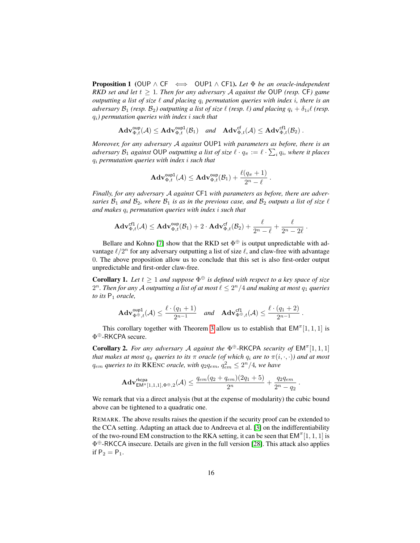Proposition 1 (OUP ∧ CF ⇐⇒ OUP1 ∧ CF1). *Let* Φ *be an oracle-independent RKD set and let*  $t \geq 1$ *. Then for any adversary A against the OUP (resp. CF) game outputting a list of size*  $\ell$  *and placing*  $q_i$  *permutation queries with index i, there is an adversary*  $\mathcal{B}_1$  (resp.  $\mathcal{B}_2$ ) outputting a list of size  $\ell$  (resp.  $\ell$ ) and placing  $q_i + \delta_{1i}\ell$  (resp. qi*) permutation queries with index* i *such that*

$$
\mathbf{Adv}_{\Phi,t}^{\mathsf{oup}}(\mathcal{A})\leq \mathbf{Adv}_{\Phi,t}^{\mathsf{oup1}}(\mathcal{B}_1) \quad \text{and} \quad \mathbf{Adv}_{\Phi,t}^{\mathsf{cf}}(\mathcal{A})\leq \mathbf{Adv}_{\Phi,t}^{\mathsf{cf1}}(\mathcal{B}_2)\ .
$$

*Moreover, for any adversary* A *against* OUP1 *with parameters as before, there is an adversary*  $\mathcal{B}_1$  *against* OUP *outputting a list of size*  $\ell \cdot q_\pi := \ell \cdot \sum_i q_i$ *, where it places* q<sup>i</sup> *permutation queries with index* i *such that*

$$
\mathbf{Adv}_{\Phi,t}^{\mathsf{oup1}}(\mathcal{A}) \leq \mathbf{Adv}_{\Phi,t}^{\mathsf{oup}}(\mathcal{B}_1) + \frac{\ell(q_\pi+1)}{2^n-\ell}
$$

.

.

*Finally, for any adversary* A *against* CF1 *with parameters as before, there are adversaries*  $\mathcal{B}_1$  *and*  $\mathcal{B}_2$ *, where*  $\mathcal{B}_1$  *is as in the previous case, and*  $\mathcal{B}_2$  *outputs a list of size*  $\ell$ *and makes* q<sup>i</sup> *permutation queries with index* i *such that*

$$
\mathbf{Adv}_{\Phi,t}^{\mathsf{cfl}}(\mathcal{A}) \leq \mathbf{Adv}_{\Phi,t}^{\mathsf{oup}}(\mathcal{B}_1) + 2\cdot \mathbf{Adv}_{\Phi,t}^{\mathsf{cf}}(\mathcal{B}_2) + \frac{\ell}{2^n-\ell} + \frac{\ell}{2^n-2\ell}
$$

Bellare and Kohno [\[7\]](#page-18-2) show that the RKD set  $\Phi^{\oplus}$  is output unpredictable with advantage  $\ell/2^n$  for any adversary outputting a list of size  $\ell$ , and claw-free with advantage 0. The above proposition allow us to conclude that this set is also first-order output unpredictable and first-order claw-free.

**Corollary 1.** Let  $t \geq 1$  and suppose  $\Phi^{\oplus}$  is defined with respect to a key space of size  $2^n$ . Then for any  ${\mathcal A}$  outputting a list of at most  $\ell \leq 2^n/4$  and making at most  $q_1$  queries *to its* P<sup>1</sup> *oracle,*

<span id="page-15-0"></span>
$$
\mathbf{Adv}_{\Phi^{\oplus},t}^{\text{oup1}}(\mathcal{A}) \leq \frac{\ell \cdot (q_1+1)}{2^{n-1}} \quad \text{and} \quad \mathbf{Adv}_{\Phi^{\oplus},t}^{\text{cf1}}(\mathcal{A}) \leq \frac{\ell \cdot (q_1+2)}{2^{n-1}} \, .
$$

This corollary together with Theorem [3](#page-14-0) allow us to establish that  $EM^{\pi}[1,1,1]$  is Φ <sup>⊕</sup>-RKCPA secure.

**Corollary 2.** For any adversary A against the  $\Phi^{\oplus}$ -RKCPA security of  $EM^{\pi}[1,1,1]$ *that makes at most*  $q_{\pi}$  *queries to its*  $\pi$  *oracle (of which*  $q_i$  *are to*  $\pi(i, \cdot, \cdot)$ ) *and at most*  $q_{em}$  queries to its RKENC oracle, with  $q_2q_{em}$ ,  $q_{em}^2 \leq 2^n/4$ , we have

$$
\mathbf{Adv}_{\mathsf{EM}^{\pi}[\![1,1,1],\Phi^{\oplus},2}^{\mathsf{rkcpa}}(\mathcal{A}) \leq \frac{q_{em}(q_2 + q_{em})(2q_1 + 5)}{2^n} + \frac{q_2q_{em}}{2^n - q_2}.
$$

We remark that via a direct analysis (but at the expense of modularity) the cubic bound above can be tightened to a quadratic one.

REMARK. The above results raises the question if the security proof can be extended to the CCA setting. Adapting an attack due to Andreeva et al. [\[3\]](#page-18-10) on the indifferentiability of the two-round EM construction to the RKA setting, it can be seen that  $EM^{\pi}[1,1,1]$  is Φ <sup>⊕</sup>-RKCCA insecure. Details are given in the full version [\[28\]](#page-19-16). This attack also applies if  $P_2 = P_1$ .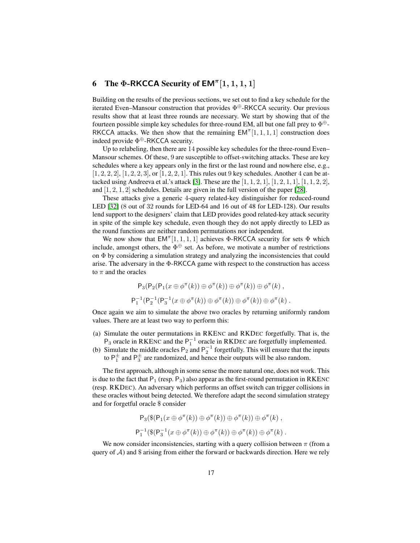## 6 The  $\Phi$ -RKCCA Security of EM<sup> $\pi$ </sup>[1, 1, 1, 1]

Building on the results of the previous sections, we set out to find a key schedule for the iterated Even–Mansour construction that provides Φ <sup>⊕</sup>-RKCCA security. Our previous results show that at least three rounds are necessary. We start by showing that of the fourteen possible simple key schedules for three-round EM, all but one fall prey to  $\Phi^{\oplus}$ -RKCCA attacks. We then show that the remaining  $EM^{\pi}[1,1,1,1]$  construction does indeed provide Φ <sup>⊕</sup>-RKCCA security.

Up to relabeling, then there are 14 possible key schedules for the three-round Even– Mansour schemes. Of these, 9 are susceptible to offset-switching attacks. These are key schedules where a key appears only in the first or the last round and nowhere else, e.g.,  $[1, 2, 2, 2], [1, 2, 2, 3],$  or  $[1, 2, 2, 1].$  This rules out 9 key schedules. Another 4 can be at-tacked using Andreeva et al.'s attack [\[3\]](#page-18-10). These are the  $[1, 1, 2, 1]$ ,  $[1, 2, 1, 1]$ ,  $[1, 1, 2, 2]$ , and [1, 2, 1, 2] schedules. Details are given in the full version of the paper [\[28\]](#page-19-16).

These attacks give a generic 4-query related-key distinguisher for reduced-round LED [\[32\]](#page-19-4) (8 out of 32 rounds for LED-64 and 16 out of 48 for LED-128). Our results lend support to the designers' claim that LED provides good related-key attack security in spite of the simple key schedule, even though they do not apply directly to LED as the round functions are neither random permutations nor independent.

We now show that  $EM^{\pi}[1,1,1,1]$  achieves  $\Phi$ -RKCCA security for sets  $\Phi$  which include, amongst others, the  $\Phi^{\oplus}$  set. As before, we motivate a number of restrictions on  $\Phi$  by considering a simulation strategy and analyzing the inconsistencies that could arise. The adversary in the Φ-RKCCA game with respect to the construction has access to  $\pi$  and the oracles

$$
P_3(P_2(P_1(x \oplus \phi^{\pi}(k)) \oplus \phi^{\pi}(k)) \oplus \phi^{\pi}(k)) \oplus \phi^{\pi}(k)),
$$
  

$$
P_1^{-1}(P_2^{-1}(P_3^{-1}(x \oplus \phi^{\pi}(k)) \oplus \phi^{\pi}(k)) \oplus \phi^{\pi}(k)) \oplus \phi^{\pi}(k).
$$

Once again we aim to simulate the above two oracles by returning uniformly random values. There are at least two way to perform this:

- (a) Simulate the outer permutations in RKENC and RKDEC forgetfully. That is, the  $P_3$  oracle in RKENC and the  $P_1^{-1}$  oracle in RKDEC are forgetfully implemented.
- (b) Simulate the middle oracles  $P_2$  and  $P_2^{-1}$  forgetfully. This will ensure that the inputs to  $P_1^{\pm}$  and  $P_3^{\pm}$  are randomized, and hence their outputs will be also random.

The first approach, although in some sense the more natural one, does not work. This is due to the fact that  $P_1$  (resp.  $P_3$ ) also appear as the first-round permutation in RKENC (resp. RKDEC). An adversary which performs an offset switch can trigger collisions in these oracles without being detected. We therefore adapt the second simulation strategy and for forgetful oracle \$ consider

$$
P_3(\$(P_1(x \oplus \phi^{\pi}(k)) \oplus \phi^{\pi}(k)) \oplus \phi^{\pi}(k)) \oplus \phi^{\pi}(k),
$$
  

$$
P_1^{-1}(\$(P_3^{-1}(x \oplus \phi^{\pi}(k)) \oplus \phi^{\pi}(k)) \oplus \phi^{\pi}(k)) \oplus \phi^{\pi}(k).
$$

We now consider inconsistencies, starting with a query collision between  $\pi$  (from a query of  $A$ ) and  $\$$  arising from either the forward or backwards direction. Here we rely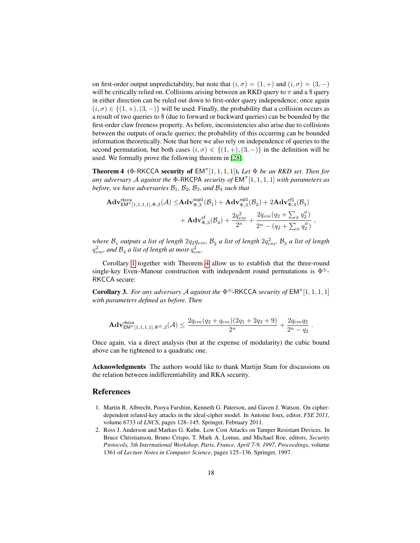on first-order output unpredictability, but note that  $(i, \sigma) = (1, +)$  and  $(i, \sigma) = (3, -)$ will be critically relied on. Collisions arising between an RKD query to  $\pi$  and a \$ query in either direction can be ruled out down to first-order query independence; once again  $(i, \sigma) \in \{(1, +), (3, -)\}\$  will be used. Finally, the probability that a collision occurs as a result of two queries to \$ (due to forward or backward queries) can be bounded by the first-order claw freeness property. As before, inconsistencies also arise due to collisions between the outputs of oracle queries; the probability of this occurring can be bounded information theoretically. Note that here we also rely on independence of queries to the second permutation, but both cases  $(i, \sigma) \in \{(1, +), (3, -)\}\$ in the definition will be used. We formally prove the following theorem in [\[28\]](#page-19-16).

<span id="page-17-3"></span>**Theorem 4** ( $\Phi$ -RKCCA security of  $EM^{\pi}[1,1,1,1]$ ). Let  $\Phi$  be an RKD set. Then for *any adversary* A *against the* Φ-RKCPA *security of* EM<sup>π</sup> [1, 1, 1, 1] *with parameters as before, we have adversaries*  $B_1$ ,  $B_2$ ,  $B_3$ , and  $B_4$  *such that* 

$$
\begin{aligned} \mathbf{Adv}_{\mathsf{EM}^{\pi}[1,1,1,1],\Phi,3}^{\mathsf{rkca}}(\mathcal{A}) \leq & \mathbf{Adv}_{\Phi,3}^{\mathsf{cup1}}(\mathcal{B}_1) + \mathbf{Adv}_{\Phi,3}^{\mathsf{xqi}}(\mathcal{B}_2) + 2\mathbf{Adv}_{\Phi,3}^{\mathsf{cfl}}(\mathcal{B}_3) \\ & + \mathbf{Adv}_{\Phi,3}^{\mathsf{cf}}(\mathcal{B}_4) + \frac{2q_{em}^2}{2^n} + \frac{2q_{em}(q_2 + \sum_{\phi} q_2^{\phi})}{2^n - (q_2 + \sum_{\phi} q_2^{\phi})} \end{aligned} \,,
$$

where  $\mathcal{B}_1$  *outputs a list of length*  $2q_{2qem}$ ,  $\mathcal{B}_2$  *a list of length*  $2q_{em}^2$ ,  $\mathcal{B}_3$  *a list of length*  $q_{em}^2$ , and  $\mathcal{B}_4$  a list of length at most  $q_{em}^2$ .

<span id="page-17-2"></span>Corollary [1](#page-15-0) together with Theorem [4](#page-17-3) allow us to establish that the three-round single-key Even–Manour construction with independent round permutations is  $\Phi^{\oplus}$ -RKCCA secure:

**Corollary 3.** For any adversary A against the  $\Phi^{\oplus}$ -RKCCA security of  $EM^{\pi}[1,1,1,1]$ *with parameters defined as before. Then*

$$
\mathbf{Adv}_{\mathsf{EM}^\pi[1,1,1,1],\Phi^\oplus,3}^{\mathsf{rkcca}}(\mathcal{A}) \leq \frac{2q_{em}(q_2+q_{em})(2q_1+2q_3+9)}{2^n} + \frac{2q_{em}q_2}{2^n-q_2}\ .
$$

Once again, via a direct analysis (but at the expense of modularity) the cubic bound above can be tightened to a quadratic one.

Acknowledgments The authors would like to thank Martijn Stam for discussions on the relation between indifferentiability and RKA security.

### References

- <span id="page-17-1"></span>1. Martin R. Albrecht, Pooya Farshim, Kenneth G. Paterson, and Gaven J. Watson. On cipherdependent related-key attacks in the ideal-cipher model. In Antoine Joux, editor, *FSE 2011*, volume 6733 of *LNCS*, pages 128–145. Springer, February 2011.
- <span id="page-17-0"></span>2. Ross J. Anderson and Markus G. Kuhn. Low Cost Attacks on Tamper Resistant Devices. In Bruce Christianson, Bruno Crispo, T. Mark A. Lomas, and Michael Roe, editors, *Security Protocols, 5th International Workshop, Paris, France, April 7-9, 1997, Proceedings*, volume 1361 of *Lecture Notes in Computer Science*, pages 125–136. Springer, 1997.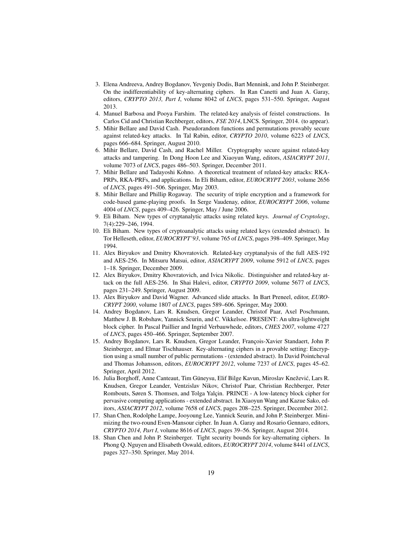- <span id="page-18-10"></span>3. Elena Andreeva, Andrey Bogdanov, Yevgeniy Dodis, Bart Mennink, and John P. Steinberger. On the indifferentiability of key-alternating ciphers. In Ran Canetti and Juan A. Garay, editors, *CRYPTO 2013, Part I*, volume 8042 of *LNCS*, pages 531–550. Springer, August 2013.
- <span id="page-18-14"></span>4. Manuel Barbosa and Pooya Farshim. The related-key analysis of feistel constructions. In Carlos Cid and Christian Rechberger, editors, *FSE 2014*, LNCS. Springer, 2014. (to appear).
- <span id="page-18-3"></span>5. Mihir Bellare and David Cash. Pseudorandom functions and permutations provably secure against related-key attacks. In Tal Rabin, editor, *CRYPTO 2010*, volume 6223 of *LNCS*, pages 666–684. Springer, August 2010.
- <span id="page-18-4"></span>6. Mihir Bellare, David Cash, and Rachel Miller. Cryptography secure against related-key attacks and tampering. In Dong Hoon Lee and Xiaoyun Wang, editors, *ASIACRYPT 2011*, volume 7073 of *LNCS*, pages 486–503. Springer, December 2011.
- <span id="page-18-2"></span>7. Mihir Bellare and Tadayoshi Kohno. A theoretical treatment of related-key attacks: RKA-PRPs, RKA-PRFs, and applications. In Eli Biham, editor, *EUROCRYPT 2003*, volume 2656 of *LNCS*, pages 491–506. Springer, May 2003.
- <span id="page-18-15"></span>8. Mihir Bellare and Phillip Rogaway. The security of triple encryption and a framework for code-based game-playing proofs. In Serge Vaudenay, editor, *EUROCRYPT 2006*, volume 4004 of *LNCS*, pages 409–426. Springer, May / June 2006.
- <span id="page-18-1"></span>9. Eli Biham. New types of cryptanalytic attacks using related keys. *Journal of Cryptology*, 7(4):229–246, 1994.
- <span id="page-18-0"></span>10. Eli Biham. New types of cryptoanalytic attacks using related keys (extended abstract). In Tor Helleseth, editor, *EUROCRYPT'93*, volume 765 of *LNCS*, pages 398–409. Springer, May 1994.
- <span id="page-18-13"></span>11. Alex Biryukov and Dmitry Khovratovich. Related-key cryptanalysis of the full AES-192 and AES-256. In Mitsuru Matsui, editor, *ASIACRYPT 2009*, volume 5912 of *LNCS*, pages 1–18. Springer, December 2009.
- <span id="page-18-12"></span>12. Alex Biryukov, Dmitry Khovratovich, and Ivica Nikolic. Distinguisher and related-key attack on the full AES-256. In Shai Halevi, editor, *CRYPTO 2009*, volume 5677 of *LNCS*, pages 231–249. Springer, August 2009.
- <span id="page-18-11"></span>13. Alex Biryukov and David Wagner. Advanced slide attacks. In Bart Preneel, editor, *EURO-CRYPT 2000*, volume 1807 of *LNCS*, pages 589–606. Springer, May 2000.
- <span id="page-18-5"></span>14. Andrey Bogdanov, Lars R. Knudsen, Gregor Leander, Christof Paar, Axel Poschmann, Matthew J. B. Robshaw, Yannick Seurin, and C. Vikkelsoe. PRESENT: An ultra-lightweight block cipher. In Pascal Paillier and Ingrid Verbauwhede, editors, *CHES 2007*, volume 4727 of *LNCS*, pages 450–466. Springer, September 2007.
- <span id="page-18-7"></span>15. Andrey Bogdanov, Lars R. Knudsen, Gregor Leander, François-Xavier Standaert, John P. Steinberger, and Elmar Tischhauser. Key-alternating ciphers in a provable setting: Encryption using a small number of public permutations - (extended abstract). In David Pointcheval and Thomas Johansson, editors, *EUROCRYPT 2012*, volume 7237 of *LNCS*, pages 45–62. Springer, April 2012.
- <span id="page-18-6"></span>16. Julia Borghoff, Anne Canteaut, Tim Güneysu, Elif Bilge Kavun, Miroslav Knežević, Lars R. Knudsen, Gregor Leander, Ventzislav Nikov, Christof Paar, Christian Rechberger, Peter Rombouts, Søren S. Thomsen, and Tolga Yalçin. PRINCE - A low-latency block cipher for pervasive computing applications - extended abstract. In Xiaoyun Wang and Kazue Sako, editors, *ASIACRYPT 2012*, volume 7658 of *LNCS*, pages 208–225. Springer, December 2012.
- <span id="page-18-9"></span>17. Shan Chen, Rodolphe Lampe, Jooyoung Lee, Yannick Seurin, and John P. Steinberger. Minimizing the two-round Even-Mansour cipher. In Juan A. Garay and Rosario Gennaro, editors, *CRYPTO 2014, Part I*, volume 8616 of *LNCS*, pages 39–56. Springer, August 2014.
- <span id="page-18-8"></span>18. Shan Chen and John P. Steinberger. Tight security bounds for key-alternating ciphers. In Phong Q. Nguyen and Elisabeth Oswald, editors, *EUROCRYPT 2014*, volume 8441 of *LNCS*, pages 327–350. Springer, May 2014.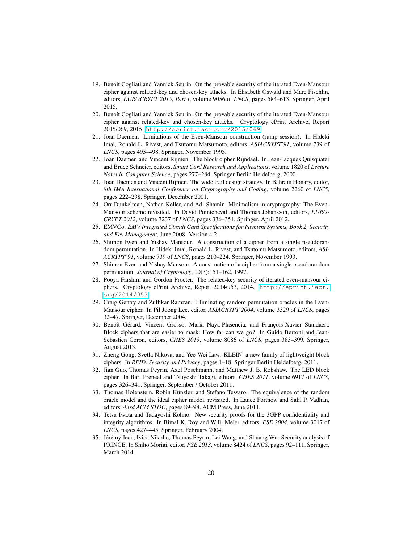- <span id="page-19-14"></span>19. Benoit Cogliati and Yannick Seurin. On the provable security of the iterated Even-Mansour cipher against related-key and chosen-key attacks. In Elisabeth Oswald and Marc Fischlin, editors, *EUROCRYPT 2015, Part I*, volume 9056 of *LNCS*, pages 584–613. Springer, April 2015.
- <span id="page-19-15"></span>20. Benoît Cogliati and Yannick Seurin. On the provable security of the iterated Even-Mansour cipher against related-key and chosen-key attacks. Cryptology ePrint Archive, Report 2015/069, 2015. <http://eprint.iacr.org/2015/069>.
- <span id="page-19-11"></span>21. Joan Daemen. Limitations of the Even-Mansour construction (rump session). In Hideki Imai, Ronald L. Rivest, and Tsutomu Matsumoto, editors, *ASIACRYPT'91*, volume 739 of *LNCS*, pages 495–498. Springer, November 1993.
- <span id="page-19-3"></span>22. Joan Daemen and Vincent Rijmen. The block cipher Rijndael. In Jean-Jacques Quisquater and Bruce Schneier, editors, *Smart Card Research and Applications*, volume 1820 of *Lecture Notes in Computer Science*, pages 277–284. Springer Berlin Heidelberg, 2000.
- <span id="page-19-2"></span>23. Joan Daemen and Vincent Rijmen. The wide trail design strategy. In Bahram Honary, editor, *8th IMA International Conference on Cryptography and Coding*, volume 2260 of *LNCS*, pages 222–238. Springer, December 2001.
- <span id="page-19-10"></span>24. Orr Dunkelman, Nathan Keller, and Adi Shamir. Minimalism in cryptography: The Even-Mansour scheme revisited. In David Pointcheval and Thomas Johansson, editors, *EURO-CRYPT 2012*, volume 7237 of *LNCS*, pages 336–354. Springer, April 2012.
- <span id="page-19-0"></span>25. EMVCo. *EMV Integrated Circuit Card Specifications for Payment Systems, Book 2, Security and Key Management*, June 2008. Version 4.2.
- <span id="page-19-7"></span>26. Shimon Even and Yishay Mansour. A construction of a cipher from a single pseudorandom permutation. In Hideki Imai, Ronald L. Rivest, and Tsutomu Matsumoto, editors, *ASI-ACRYPT'91*, volume 739 of *LNCS*, pages 210–224. Springer, November 1993.
- <span id="page-19-8"></span>27. Shimon Even and Yishay Mansour. A construction of a cipher from a single pseudorandom permutation. *Journal of Cryptology*, 10(3):151–162, 1997.
- <span id="page-19-16"></span>28. Pooya Farshim and Gordon Procter. The related-key security of iterated even-mansour ciphers. Cryptology ePrint Archive, Report 2014/953, 2014. [http://eprint.iacr.](http://eprint.iacr.org/2014/953) [org/2014/953](http://eprint.iacr.org/2014/953).
- <span id="page-19-9"></span>29. Craig Gentry and Zulfikar Ramzan. Eliminating random permutation oracles in the Even-Mansour cipher. In Pil Joong Lee, editor, *ASIACRYPT 2004*, volume 3329 of *LNCS*, pages 32–47. Springer, December 2004.
- <span id="page-19-6"></span>30. Benoît Gérard, Vincent Grosso, María Naya-Plasencia, and François-Xavier Standaert. Block ciphers that are easier to mask: How far can we go? In Guido Bertoni and Jean-Sébastien Coron, editors, *CHES 2013*, volume 8086 of *LNCS*, pages 383-399. Springer, August 2013.
- <span id="page-19-5"></span>31. Zheng Gong, Svetla Nikova, and Yee-Wei Law. KLEIN: a new family of lightweight block ciphers. In *RFID. Security and Privacy*, pages 1–18. Springer Berlin Heidelberg, 2011.
- <span id="page-19-4"></span>32. Jian Guo, Thomas Peyrin, Axel Poschmann, and Matthew J. B. Robshaw. The LED block cipher. In Bart Preneel and Tsuyoshi Takagi, editors, *CHES 2011*, volume 6917 of *LNCS*, pages 326–341. Springer, September / October 2011.
- <span id="page-19-13"></span>33. Thomas Holenstein, Robin Kunzler, and Stefano Tessaro. The equivalence of the random ¨ oracle model and the ideal cipher model, revisited. In Lance Fortnow and Salil P. Vadhan, editors, *43rd ACM STOC*, pages 89–98. ACM Press, June 2011.
- <span id="page-19-1"></span>34. Tetsu Iwata and Tadayoshi Kohno. New security proofs for the 3GPP confidentiality and integrity algorithms. In Bimal K. Roy and Willi Meier, editors, *FSE 2004*, volume 3017 of *LNCS*, pages 427–445. Springer, February 2004.
- <span id="page-19-12"></span>35. Jérémy Jean, Ivica Nikolic, Thomas Peyrin, Lei Wang, and Shuang Wu. Security analysis of PRINCE. In Shiho Moriai, editor, *FSE 2013*, volume 8424 of *LNCS*, pages 92–111. Springer, March 2014.